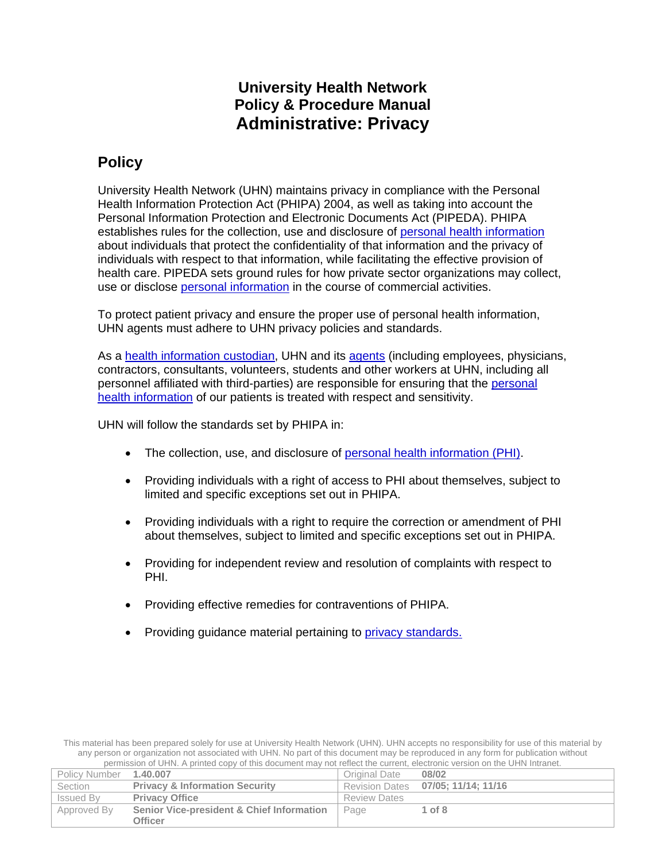# **University Health Network Policy & Procedure Manual Administrative: Privacy**

# **Policy**

University Health Network (UHN) maintains privacy in compliance with the Personal Health Information Protection Act (PHIPA) 2004, as well as taking into account the Personal Information Protection and Electronic Documents Act (PIPEDA). PHIPA establishes rules for the collection, use and disclosure of [personal health information](#page-6-0) about individuals that protect the confidentiality of that information and the privacy of individuals with respect to that information, while facilitating the effective provision of health care. PIPEDA sets ground rules for how private sector organizations may collect, use or disclose [personal information](#page-6-1) in the course of commercial activities.

To protect patient privacy and ensure the proper use of personal health information, UHN agents must adhere to UHN privacy policies and standards.

As a [health information custodian,](#page-6-2) UHN and its [agents](#page-6-3) (including employees, physicians, contractors, consultants, volunteers, students and other workers at UHN, including all personnel affiliated with third-parties) are responsible for ensuring that the [personal](#page-6-0)  [health information](#page-6-0) of our patients is treated with respect and sensitivity.

UHN will follow the standards set by PHIPA in:

- The collection, use, and disclosure of [personal health information \(PHI\).](#page-6-0)
- Providing individuals with a right of access to PHI about themselves, subject to limited and specific exceptions set out in PHIPA.
- Providing individuals with a right to require the correction or amendment of PHI about themselves, subject to limited and specific exceptions set out in PHIPA.
- Providing for independent review and resolution of complaints with respect to PHI.
- Providing effective remedies for contraventions of PHIPA.
- Providing guidance material pertaining to *privacy standards*.

This material has been prepared solely for use at University Health Network (UHN). UHN accepts no responsibility for use of this material by any person or organization not associated with UHN. No part of this document may be reproduced in any form for publication without permission of UHN. A printed copy of this document may not reflect the current, electronic version on the UHN Intranet.

| Policy Number    | 1.40.007                                  | <b>Original Date</b> | 08/02                              |
|------------------|-------------------------------------------|----------------------|------------------------------------|
| <b>Section</b>   | <b>Privacy &amp; Information Security</b> |                      | Revision Dates 07/05; 11/14; 11/16 |
| <b>Issued By</b> | <b>Privacy Office</b>                     | <b>Review Dates</b>  |                                    |
| Approved By      | Senior Vice-president & Chief Information | Page                 | $1$ of $8$                         |
|                  | Officer                                   |                      |                                    |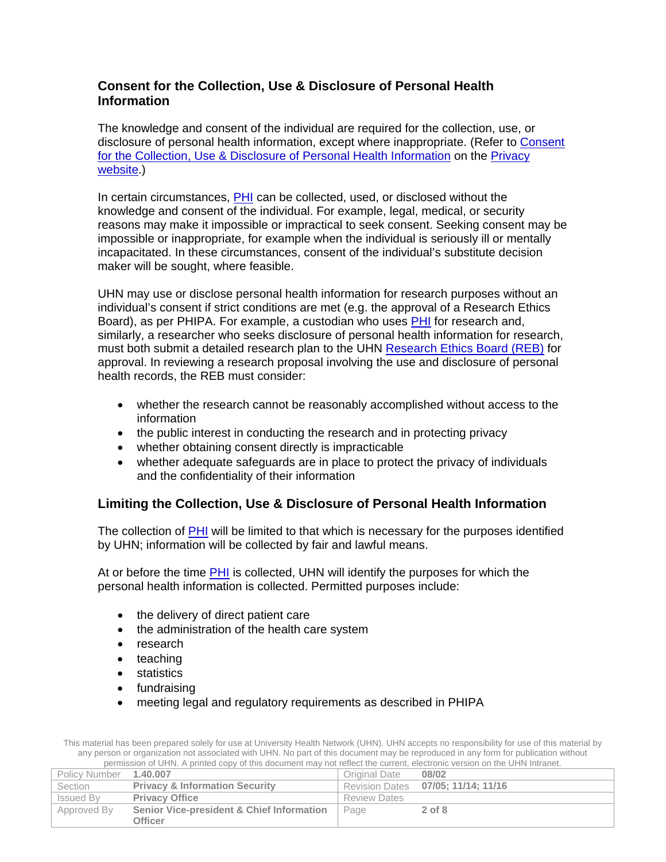## **Consent for the Collection, Use & Disclosure of Personal Health Information**

The knowledge and consent of the individual are required for the collection, use, or disclosure of personal health information, except where inappropriate. (Refer to [Consent](http://documents.uhn.ca/sites/uhn/Privacy/General_Information/How_to_CUD_consent.pdf)  [for the Collection, Use & Disclosure of Personal Health Information](http://documents.uhn.ca/sites/uhn/Privacy/General_Information/How_to_CUD_consent.pdf) on the Privacy [website.](http://intranet.uhn.ca/departments/privacy/))

In certain circumstances, [PHI](#page-6-0) can be collected, used, or disclosed without the knowledge and consent of the individual. For example, legal, medical, or security reasons may make it impossible or impractical to seek consent. Seeking consent may be impossible or inappropriate, for example when the individual is seriously ill or mentally incapacitated. In these circumstances, consent of the individual's substitute decision maker will be sought, where feasible.

UHN may use or disclose personal health information for research purposes without an individual's consent if strict conditions are met (e.g. the approval of a Research Ethics Board), as per PHIPA. For example, a custodian who uses [PHI](#page-6-0) for research and, similarly, a researcher who seeks disclosure of personal health information for research, must both submit a detailed research plan to the UHN [Research Ethics Board](http://intranet.uhnresearch.ca/departments/research-ethics-board) (REB) for approval. In reviewing a research proposal involving the use and disclosure of personal health records, the REB must consider:

- whether the research cannot be reasonably accomplished without access to the information
- the public interest in conducting the research and in protecting privacy
- whether obtaining consent directly is impracticable
- whether adequate safeguards are in place to protect the privacy of individuals and the confidentiality of their information

## **Limiting the Collection, Use & Disclosure of Personal Health Information**

The collection of [PHI](#page-6-0) will be limited to that which is necessary for the purposes identified by UHN; information will be collected by fair and lawful means.

At or before the time [PHI](#page-6-0) is collected, UHN will identify the purposes for which the personal health information is collected. Permitted purposes include:

- the delivery of direct patient care
- the administration of the health care system
- research
- teaching
- statistics
- fundraising
- meeting legal and regulatory requirements as described in PHIPA

| Policy Number    | 1.40.007                                  | Original Date       | 08/02                              |
|------------------|-------------------------------------------|---------------------|------------------------------------|
| Section          | <b>Privacy &amp; Information Security</b> |                     | Revision Dates 07/05; 11/14; 11/16 |
| <b>Issued By</b> | <b>Privacy Office</b>                     | <b>Review Dates</b> |                                    |
| Approved By      | Senior Vice-president & Chief Information | Page                | $2$ of $8$                         |
|                  | Officer                                   |                     |                                    |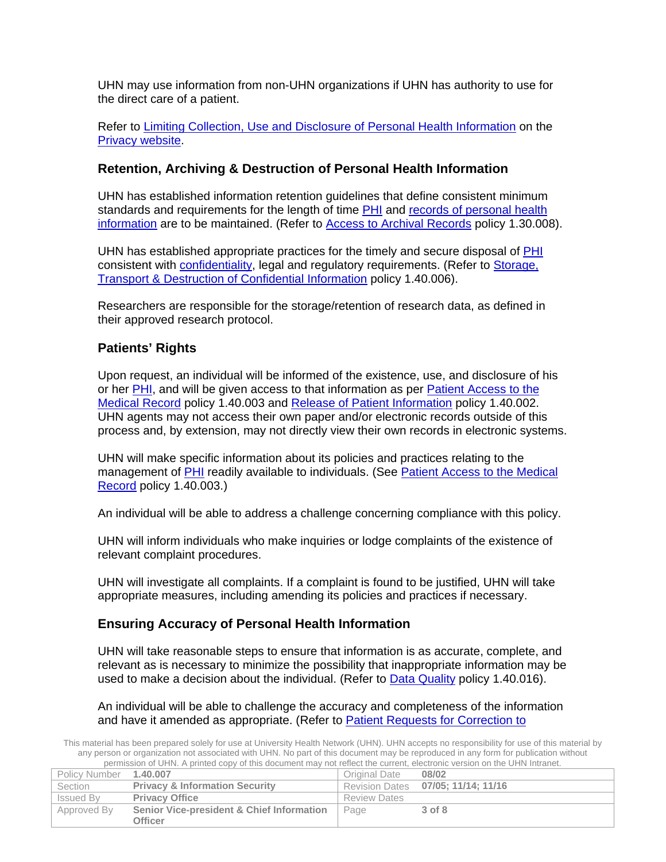UHN may use information from non-UHN organizations if UHN has authority to use for the direct care of a patient.

Refer to [Limiting Collection, Use and Disclosure of Personal Health Information](http://documents.uhn.ca/sites/uhn/Privacy/General_Information/Limiting_CUD.pdf) on the [Privacy website.](http://intranet.uhn.ca/departments/privacy/)

## **Retention, Archiving & Destruction of Personal Health Information**

UHN has established information retention guidelines that define consistent minimum standards and requirements for the length of time [PHI](#page-6-0) and [records of personal health](#page-6-4)  [information](#page-6-4) are to be maintained. (Refer to [Access to Archival Records](http://documents.uhn.ca/sites/uhn/Policies/Administrative/Legal_Affairs/1.30.008.pdf) policy 1.30.008).

UHN has established appropriate practices for the timely and secure disposal of [PHI](#page-6-0) consistent with [confidentiality,](#page-6-5) legal and regulatory requirements. (Refer to [Storage,](http://documents.uhn.ca/sites/uhn/Policies/administrative/privacy__and__information_security/1.40.006-doc.pdf)  [Transport & Destruction of Confidential Information](http://documents.uhn.ca/sites/uhn/Policies/administrative/privacy__and__information_security/1.40.006-doc.pdf) policy 1.40.006).

Researchers are responsible for the storage/retention of research data, as defined in their approved research protocol.

## **Patients' Rights**

Upon request, an individual will be informed of the existence, use, and disclosure of his or her [PHI,](#page-6-0) and will be given access to that information as per [Patient Access to the](http://documents.uhn.ca/sites/uhn/Policies/administrative/privacy__and__information_security/uhnflv027555-doc.pdf)  [Medical Record](http://documents.uhn.ca/sites/uhn/Policies/administrative/privacy__and__information_security/uhnflv027555-doc.pdf) policy 1.40.003 and [Release of Patient Information](http://documents.uhn.ca/sites/uhn/Policies/administrative/privacy__and__information_security/uhnflv027554-doc.pdf) policy 1.40.002. UHN agents may not access their own paper and/or electronic records outside of this process and, by extension, may not directly view their own records in electronic systems.

UHN will make specific information about its policies and practices relating to the management of [PHI](#page-6-0) readily available to individuals. (See Patient Access to the Medical [Record](http://documents.uhn.ca/sites/uhn/Policies/administrative/privacy__and__information_security/uhnflv027555-doc.pdf) policy 1.40.003.)

An individual will be able to address a challenge concerning compliance with this policy.

UHN will inform individuals who make inquiries or lodge complaints of the existence of relevant complaint procedures.

UHN will investigate all complaints. If a complaint is found to be justified, UHN will take appropriate measures, including amending its policies and practices if necessary.

#### **Ensuring Accuracy of Personal Health Information**

UHN will take reasonable steps to ensure that information is as accurate, complete, and relevant as is necessary to minimize the possibility that inappropriate information may be used to make a decision about the individual. (Refer to [Data Quality](http://documents.uhn.ca/sites/uhn/Policies/administrative/privacy__and__information_security/uhnflv029510-doc.pdf) policy 1.40.016).

#### An individual will be able to challenge the accuracy and completeness of the information and have it amended as appropriate. (Refer to [Patient Requests for Correction to](http://documents.uhn.ca/sites/uhn/Policies/administrative/privacy__and__information_security/uhnflv027553-doc.pdf)

| Policy Number | 1.40.007                                  | Original Date       | 08/02                              |
|---------------|-------------------------------------------|---------------------|------------------------------------|
| Section       | <b>Privacy &amp; Information Security</b> |                     | Revision Dates 07/05; 11/14; 11/16 |
| Issued By     | <b>Privacy Office</b>                     | <b>Review Dates</b> |                                    |
| Approved By   | Senior Vice-president & Chief Information | Page                | 3 of 8                             |
|               | Officer                                   |                     |                                    |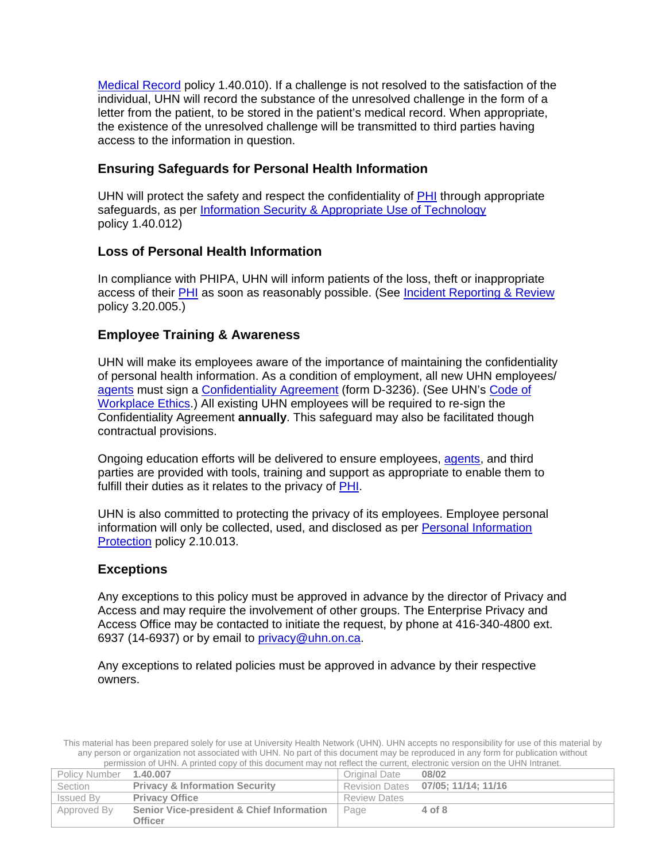[Medical Record](http://documents.uhn.ca/sites/uhn/Policies/administrative/privacy__and__information_security/uhnflv027553-doc.pdf) policy 1.40.010). If a challenge is not resolved to the satisfaction of the individual, UHN will record the substance of the unresolved challenge in the form of a letter from the patient, to be stored in the patient's medical record. When appropriate, the existence of the unresolved challenge will be transmitted to third parties having access to the information in question.

## **Ensuring Safeguards for Personal Health Information**

UHN will protect the safety and respect the confidentiality of [PHI](#page-6-0) through appropriate safeguards, as per Information Security [& Appropriate Use of Technology](http://documents.uhn.ca/sites/uhn/Policies/administrative/privacy__and__information_security/uhnflv029505-doc.pdf) policy 1.40.012)

## **Loss of Personal Health Information**

In compliance with PHIPA, UHN will inform patients of the loss, theft or inappropriate access of their **PHI** as soon as reasonably possible. (See [Incident Reporting & Review](http://documents.uhn.ca/sites/uhn/Policies/clinical/medical-legal-clinical_ethics/3.20.005-doc.pdf) policy 3.20.005.)

## **Employee Training & Awareness**

UHN will make its employees aware of the importance of maintaining the confidentiality of personal health information. As a condition of employment, all new UHN employees/ [agents](#page-6-3) must sign a [Confidentiality Agreement](http://documents.uhn.ca/sites/uhn/policies/policy_attachments/uhnprod004805.pdf) (form D-3236). (See UHN's [Code of](http://documents.uhn.ca/sites/uhn/Human_Resources/Code_of_Ethics/code_of_ethics.pdf)  [Workplace Ethics.](http://documents.uhn.ca/sites/uhn/Human_Resources/Code_of_Ethics/code_of_ethics.pdf)) All existing UHN employees will be required to re-sign the [Confidentiality Agreement](http://documents.uhn.ca/sites/uhn/policies/policy_attachments/uhnprod004805.pdf) **annually**. This safeguard may also be facilitated though contractual provisions.

Ongoing education efforts will be delivered to ensure employees, [agents,](#page-6-3) and third parties are provided with tools, training and support as appropriate to enable them to fulfill their duties as it relates to the privacy of PHI.

UHN is also committed to protecting the privacy of its employees. Employee personal information will only be collected, used, and disclosed as per [Personal Information](http://documents.uhn.ca/sites/uhn/Policies/Human_Resources/Employment/2.10.013.pdf)  [Protection](http://documents.uhn.ca/sites/uhn/Policies/Human_Resources/Employment/2.10.013.pdf) policy 2.10.013.

## **Exceptions**

Any exceptions to this policy must be approved in advance by the director of Privacy and Access and may require the involvement of other groups. The Enterprise Privacy and Access Office may be contacted to initiate the request, by phone at 416-340-4800 ext. 6937 (14-6937) or by email to [privacy@uhn.on.ca.](mailto:privacy@uhn.on.ca)

Any exceptions to related policies must be approved in advance by their respective owners.

| Policy Number    | 1.40.007                                  | Original Date       | 08/02                              |
|------------------|-------------------------------------------|---------------------|------------------------------------|
| Section          | <b>Privacy &amp; Information Security</b> |                     | Revision Dates 07/05; 11/14; 11/16 |
| <b>Issued By</b> | <b>Privacy Office</b>                     | <b>Review Dates</b> |                                    |
| Approved By      | Senior Vice-president & Chief Information | Page                | 4 of 8                             |
|                  | <b>Officer</b>                            |                     |                                    |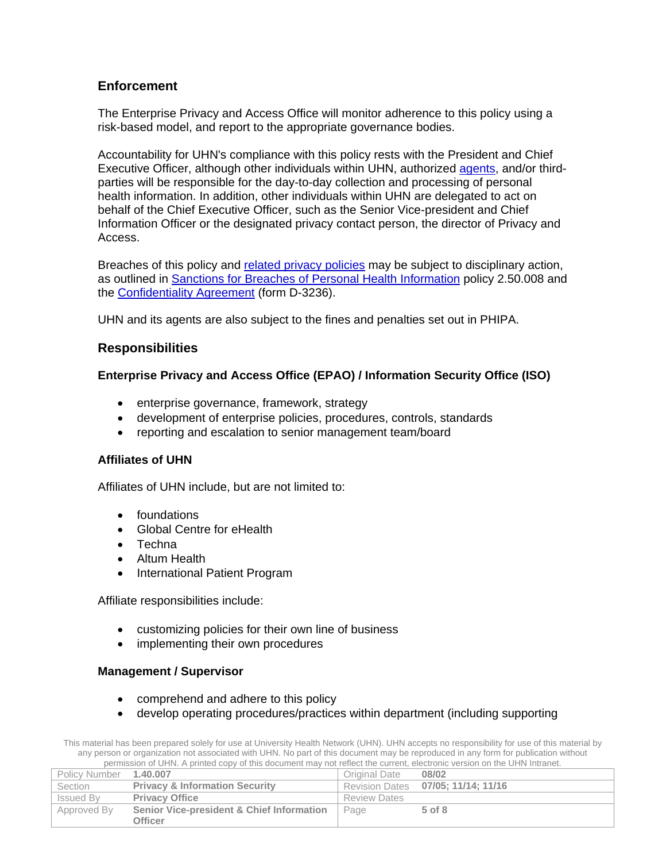## **Enforcement**

The Enterprise Privacy and Access Office will monitor adherence to this policy using a risk-based model, and report to the appropriate governance bodies.

Accountability for UHN's compliance with this policy rests with the President and Chief Executive Officer, although other individuals within UHN, authorized [agents,](#page-6-3) and/or thirdparties will be responsible for the day-to-day collection and processing of personal health information. In addition, other individuals within UHN are delegated to act on behalf of the Chief Executive Officer, such as the Senior Vice-president and Chief Information Officer or the designated privacy contact person, the director of Privacy and Access.

Breaches of this policy and [related privacy policies](#page-5-0) may be subject to disciplinary action, as outlined in [Sanctions for Breaches of Personal Health](http://documents.uhn.ca/sites/uhn/Policies/Human_Resources/Employee_Relations/2.50.008.pdf) Information policy 2.50.008 and the [Confidentiality Agreement](http://documents.uhn.ca/sites/uhn/policies/policy_attachments/uhnprod004805.pdf) (form D-3236).

UHN and its agents are also subject to the fines and penalties set out in PHIPA.

## **Responsibilities**

#### **Enterprise Privacy and Access Office (EPAO) / Information Security Office (ISO)**

- enterprise governance, framework, strategy
- development of enterprise policies, procedures, controls, standards
- reporting and escalation to senior management team/board

#### **Affiliates of UHN**

Affiliates of UHN include, but are not limited to:

- foundations
- Global Centre for eHealth
- Techna
- Altum Health
- International Patient Program

Affiliate responsibilities include:

- customizing policies for their own line of business
- implementing their own procedures

#### **Management / Supervisor**

- comprehend and adhere to this policy
- develop operating procedures/practices within department (including supporting

| Policy Number 1.40.007 |                                           | Original Date       | 08/02                              |
|------------------------|-------------------------------------------|---------------------|------------------------------------|
| Section                | <b>Privacy &amp; Information Security</b> |                     | Revision Dates 07/05; 11/14; 11/16 |
| <b>Issued By</b>       | <b>Privacy Office</b>                     | <b>Review Dates</b> |                                    |
| Approved By            | Senior Vice-president & Chief Information | Page                | $5$ of $8$                         |
|                        | Officer                                   |                     |                                    |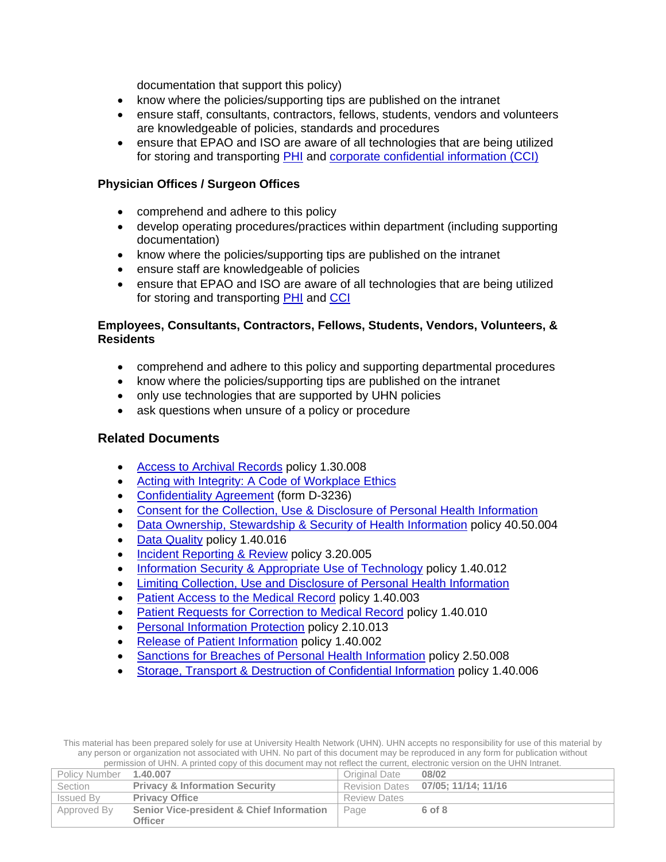documentation that support this policy)

- know where the policies/supporting tips are published on the intranet
- ensure staff, consultants, contractors, fellows, students, vendors and volunteers are knowledgeable of policies, standards and procedures
- ensure that EPAO and ISO are aware of all technologies that are being utilized for storing and transporting [PHI](#page-6-0) and [corporate confidential information \(CCI\)](#page-6-6)

#### **Physician Offices / Surgeon Offices**

- comprehend and adhere to this policy
- develop operating procedures/practices within department (including supporting documentation)
- know where the policies/supporting tips are published on the intranet
- ensure staff are knowledgeable of policies
- ensure that EPAO and ISO are aware of all technologies that are being utilized for storing and transporting **PHI** and [CCI](#page-6-6)

#### **Employees, Consultants, Contractors, Fellows, Students, Vendors, Volunteers, & Residents**

- comprehend and adhere to this policy and supporting departmental procedures
- know where the policies/supporting tips are published on the intranet
- only use technologies that are supported by UHN policies
- ask questions when unsure of a policy or procedure

#### <span id="page-5-0"></span>**Related Documents**

- [Access to Archival Records](http://documents.uhn.ca/sites/uhn/Policies/Administrative/Legal_Affairs/1.30.008.pdf) policy 1.30.008
- [Acting with Integrity: A Code of Workplace Ethics](http://documents.uhn.ca/sites/uhn/Human_Resources/Code_of_Ethics/code_of_ethics.pdf)
- [Confidentiality Agreement](http://documents.uhn.ca/sites/uhn/policies/policy_attachments/uhnprod004805.pdf) (form D-3236)
- [Consent for the Collection, Use & Disclosure of Personal Health Information](http://documents.uhn.ca/sites/uhn/Privacy/General_Information/How_to_CUD_consent.pdf)
- [Data Ownership, Stewardship & Security of Health Information](http://documents.uhn.ca/sites/uhn/Policies/Research_Manual/Information_Management/40.50.004.pdf) policy 40.50.004
- [Data Quality](http://documents.uhn.ca/sites/uhn/Policies/administrative/privacy__and__information_security/uhnflv029510-doc.pdf) policy 1.40.016
- [Incident Reporting & Review](http://documents.uhn.ca/sites/uhn/Policies/clinical/medical-legal-clinical_ethics/3.20.005-doc.pdf) policy 3.20.005
- [Information Security & Appropriate Use of Technology](http://documents.uhn.ca/sites/uhn/Policies/administrative/privacy__and__information_security/uhnflv029505-doc.pdf) policy 1.40.012
- [Limiting Collection, Use and Disclosure of Personal Health Information](http://documents.uhn.ca/sites/uhn/Privacy/General_Information/Limiting_CUD.pdf)
- [Patient Access to the Medical Record](http://documents.uhn.ca/sites/uhn/Policies/administrative/privacy__and__information_security/uhnflv027555-doc.pdf) policy 1.40.003
- [Patient Requests for Correction to Medical Record](http://documents.uhn.ca/sites/uhn/Policies/administrative/privacy__and__information_security/uhnflv027553-doc.pdf) policy 1.40.010
- [Personal Information Protection](http://documents.uhn.ca/sites/uhn/Policies/Human_Resources/Employment/2.10.013.pdf) policy 2.10.013
- [Release of Patient Information](http://documents.uhn.ca/sites/uhn/Policies/administrative/privacy__and__information_security/uhnflv027554-doc.pdf) policy 1.40.002
- [Sanctions for Breaches of Personal Health Information](http://documents.uhn.ca/sites/uhn/Policies/Human_Resources/Employee_Relations/2.50.008.pdf) policy 2.50.008
- [Storage, Transport & Destruction of Confidential Information](http://documents.uhn.ca/sites/uhn/Policies/administrative/privacy__and__information_security/1.40.006-doc.pdf) policy 1.40.006

| Policy Number | 1.40.007                                  | Original Date       | 08/02                              |
|---------------|-------------------------------------------|---------------------|------------------------------------|
| Section       | <b>Privacy &amp; Information Security</b> |                     | Revision Dates 07/05; 11/14; 11/16 |
| Issued By     | <b>Privacy Office</b>                     | <b>Review Dates</b> |                                    |
| Approved By   | Senior Vice-president & Chief Information | Page                | 6 of 8                             |
|               | Officer                                   |                     |                                    |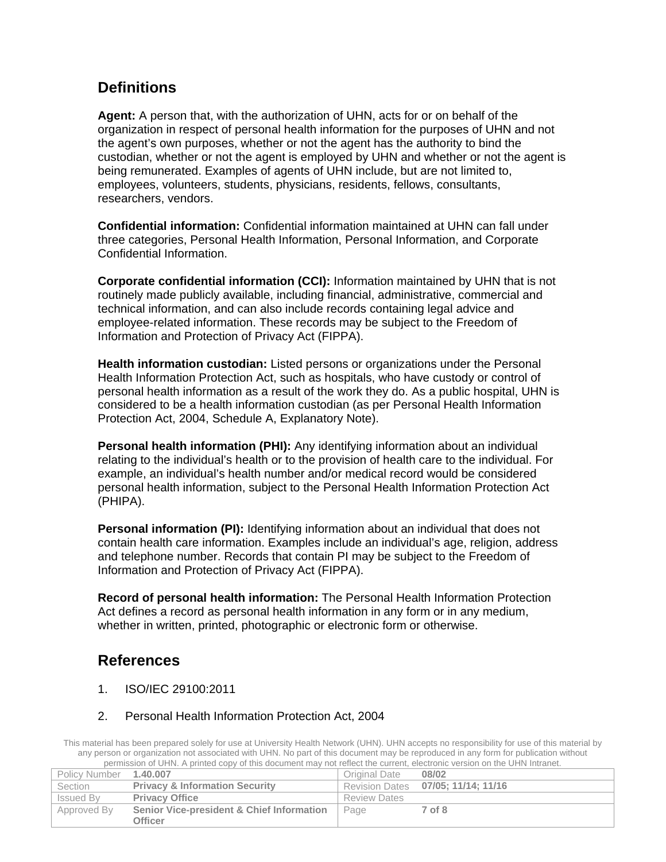## **Definitions**

<span id="page-6-3"></span>**Agent:** A person that, with the authorization of UHN, acts for or on behalf of the organization in respect of personal health information for the purposes of UHN and not the agent's own purposes, whether or not the agent has the authority to bind the custodian, whether or not the agent is employed by UHN and whether or not the agent is being remunerated. Examples of agents of UHN include, but are not limited to, employees, volunteers, students, physicians, residents, fellows, consultants, researchers, vendors.

<span id="page-6-5"></span>**Confidential information:** Confidential information maintained at UHN can fall under three categories, Personal Health Information, Personal Information, and Corporate Confidential Information.

<span id="page-6-6"></span>**Corporate confidential information (CCI):** Information maintained by UHN that is not routinely made publicly available, including financial, administrative, commercial and technical information, and can also include records containing legal advice and employee-related information. These records may be subject to the Freedom of Information and Protection of Privacy Act (FIPPA).

<span id="page-6-2"></span>**Health information custodian:** Listed persons or organizations under the Personal Health Information Protection Act, such as hospitals, who have custody or control of personal health information as a result of the work they do. As a public hospital, UHN is considered to be a health information custodian (as per Personal Health Information Protection Act, 2004, Schedule A, Explanatory Note).

<span id="page-6-0"></span>**Personal health information (PHI):** Any identifying information about an individual relating to the individual's health or to the provision of health care to the individual. For example, an individual's health number and/or medical record would be considered personal health information, subject to the Personal Health Information Protection Act (PHIPA).

<span id="page-6-1"></span>**Personal information (PI):** Identifying information about an individual that does not contain health care information. Examples include an individual's age, religion, address and telephone number. Records that contain PI may be subject to the Freedom of Information and Protection of Privacy Act (FIPPA).

<span id="page-6-4"></span>**Record of personal health information:** The Personal Health Information Protection Act defines a record as personal health information in any form or in any medium, whether in written, printed, photographic or electronic form or otherwise.

# **References**

1. ISO/IEC 29100:2011

#### 2. Personal Health Information Protection Act, 2004

| Policy Number 1.40.007 |                                           | Original Date       | 08/02                              |
|------------------------|-------------------------------------------|---------------------|------------------------------------|
| Section                | <b>Privacy &amp; Information Security</b> |                     | Revision Dates 07/05; 11/14; 11/16 |
| <b>Issued By</b>       | <b>Privacy Office</b>                     | <b>Review Dates</b> |                                    |
| Approved By            | Senior Vice-president & Chief Information | Page                | 7 of 8                             |
|                        | <b>Officer</b>                            |                     |                                    |